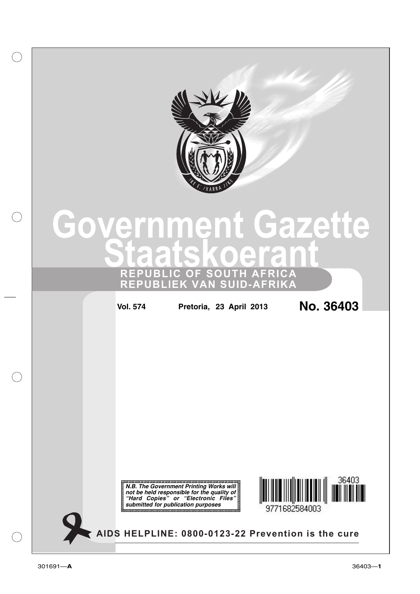